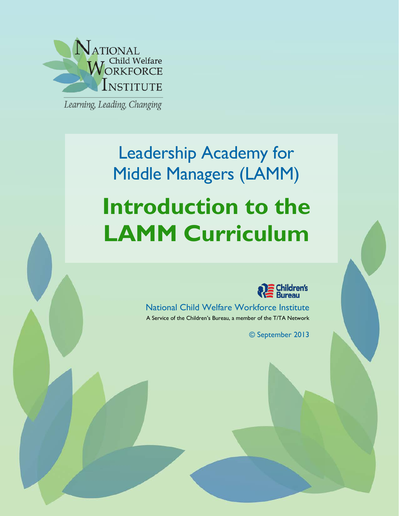

Learning, Leading, Changing

# Leadership Academy for Middle Managers (LAMM) **Introduction to the LAMM Curriculum**



National Child Welfare Workforce Institute A Service of the Children's Bureau, a member of the T/TA Network

National Child Welfare Workforce Institute A Service of the Children's Bureau, a member of the T/TA Network ww.ncw.ncw.ncw.ncw.ncw.ncw.ncw.ncw.nc

© September 2013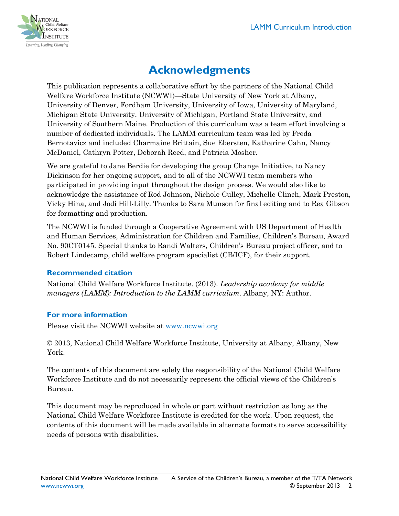

# **Acknowledgments**

This publication represents a collaborative effort by the partners of the National Child Welfare Workforce Institute (NCWWI)—State University of New York at Albany, University of Denver, Fordham University, University of Iowa, University of Maryland, Michigan State University, University of Michigan, Portland State University, and University of Southern Maine. Production of this curriculum was a team effort involving a number of dedicated individuals. The LAMM curriculum team was led by Freda Bernotavicz and included Charmaine Brittain, Sue Ebersten, Katharine Cahn, Nancy McDaniel, Cathryn Potter, Deborah Reed, and Patricia Mosher.

We are grateful to Jane Berdie for developing the group Change Initiative, to Nancy Dickinson for her ongoing support, and to all of the NCWWI team members who participated in providing input throughout the design process. We would also like to acknowledge the assistance of Rod Johnson, Nichole Culley, Michelle Clinch, Mark Preston, Vicky Hina, and Jodi Hill-Lilly. Thanks to Sara Munson for final editing and to Rea Gibson for formatting and production.

The NCWWI is funded through a Cooperative Agreement with US Department of Health and Human Services, Administration for Children and Families, Children's Bureau, Award No. 90CT0145. Special thanks to Randi Walters, Children's Bureau project officer, and to Robert Lindecamp, child welfare program specialist (CB/ICF), for their support.

#### **Recommended citation**

National Child Welfare Workforce Institute. (2013). *Leadership academy for middle managers (LAMM): Introduction to the LAMM curriculum*. Albany, NY: Author.

#### **For more information**

Please visit the NCWWI website at [www.ncwwi.org](http://www.ncwwi.org/)

© 2013, National Child Welfare Workforce Institute, University at Albany, Albany, New York.

The contents of this document are solely the responsibility of the National Child Welfare Workforce Institute and do not necessarily represent the official views of the Children's Bureau.

This document may be reproduced in whole or part without restriction as long as the National Child Welfare Workforce Institute is credited for the work. Upon request, the contents of this document will be made available in alternate formats to serve accessibility needs of persons with disabilities.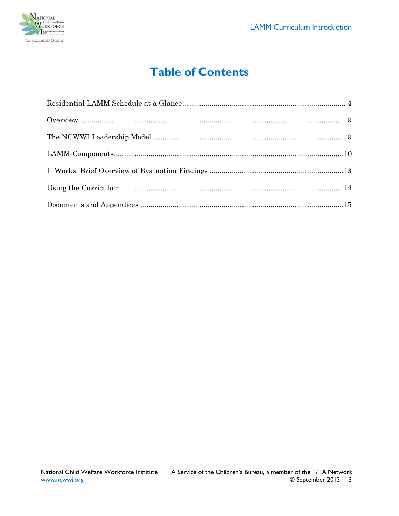

# **Table of Contents**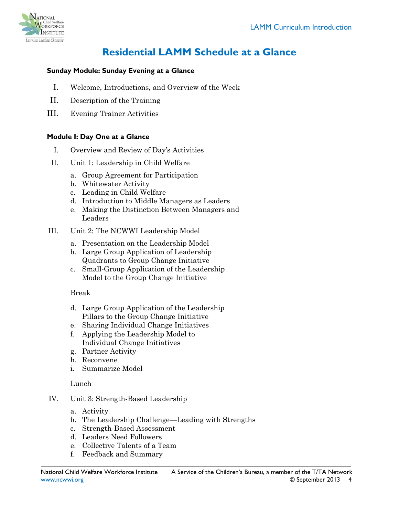

# **Residential LAMM Schedule at a Glance**

#### <span id="page-3-0"></span>**Sunday Module: Sunday Evening at a Glance**

- I. Welcome, Introductions, and Overview of the Week
- II. Description of the Training
- III. Evening Trainer Activities

#### **Module I: Day One at a Glance**

- I. Overview and Review of Day's Activities
- II. Unit 1: Leadership in Child Welfare
	- a. Group Agreement for Participation
	- b. Whitewater Activity
	- c. Leading in Child Welfare
	- d. Introduction to Middle Managers as Leaders
	- e. Making the Distinction Between Managers and Leaders
- III. Unit 2: The NCWWI Leadership Model
	- a. Presentation on the Leadership Model
	- b. Large Group Application of Leadership Quadrants to Group Change Initiative
	- c. Small-Group Application of the Leadership Model to the Group Change Initiative

#### Break

- d. Large Group Application of the Leadership Pillars to the Group Change Initiative
- e. Sharing Individual Change Initiatives
- f. Applying the Leadership Model to Individual Change Initiatives
- g. Partner Activity
- h. Reconvene
- i. Summarize Model

#### Lunch

- IV. Unit 3: Strength-Based Leadership
	- a. Activity
	- b. The Leadership Challenge—Leading with Strengths
	- c. Strength-Based Assessment
	- d. Leaders Need Followers
	- e. Collective Talents of a Team
	- f. Feedback and Summary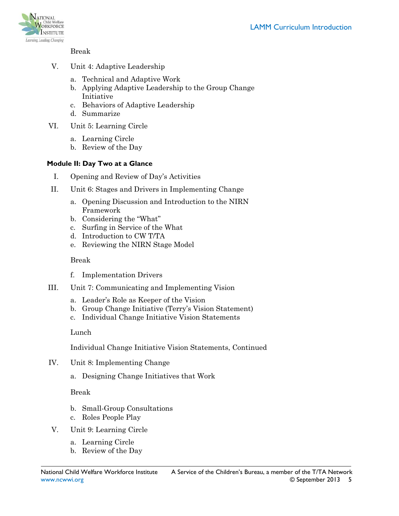

Break

- V. Unit 4: Adaptive Leadership
	- a. Technical and Adaptive Work
	- b. Applying Adaptive Leadership to the Group Change Initiative
	- c. Behaviors of Adaptive Leadership
	- d. Summarize
- VI. Unit 5: Learning Circle
	- a. Learning Circle
	- b. Review of the Day

#### **Module II: Day Two at a Glance**

- I. Opening and Review of Day's Activities
- II. Unit 6: Stages and Drivers in Implementing Change
	- a. Opening Discussion and Introduction to the NIRN Framework
	- b. Considering the "What"
	- c. Surfing in Service of the What
	- d. Introduction to CW T/TA
	- e. Reviewing the NIRN Stage Model

#### Break

- f. Implementation Drivers
- III. Unit 7: Communicating and Implementing Vision
	- a. Leader's Role as Keeper of the Vision
	- b. Group Change Initiative (Terry's Vision Statement)
	- c. Individual Change Initiative Vision Statements

#### Lunch

Individual Change Initiative Vision Statements, Continued

- IV. Unit 8: Implementing Change
	- a. Designing Change Initiatives that Work

#### Break

- b. Small-Group Consultations
- c. Roles People Play
- V. Unit 9: Learning Circle
	- a. Learning Circle
	- b. Review of the Day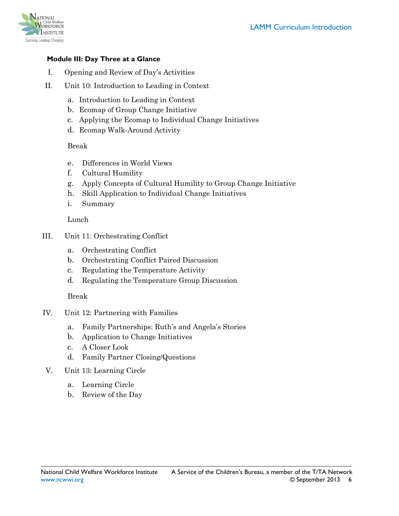

#### **Module III: Day Three at a Glance**

- I. Opening and Review of Day's Activities
- II. Unit 10: Introduction to Leading in Context
	- a. Introduction to Leading in Context
	- b. Ecomap of Group Change Initiative
	- c. Applying the Ecomap to Individual Change Initiatives
	- d. Ecomap Walk-Around Activity

#### Break

- e. Differences in World Views
- f. Cultural Humility
- g. Apply Concepts of Cultural Humility to Group Change Initiative
- h. Skill Application to Individual Change Initiatives
- i. Summary

Lunch

- III. Unit 11: Orchestrating Conflict
	- a. Orchestrating Conflict
	- b. Orchestrating Conflict Paired Discussion
	- c. Regulating the Temperature Activity
	- d. Regulating the Temperature Group Discussion

Break

- IV. Unit 12: Partnering with Families
	- a. Family Partnerships: Ruth's and Angela's Stories
	- b. Application to Change Initiatives
	- c. A Closer Look
	- d. Family Partner Closing/Questions
- V. Unit 13: Learning Circle
	- a. Learning Circle
	- b. Review of the Day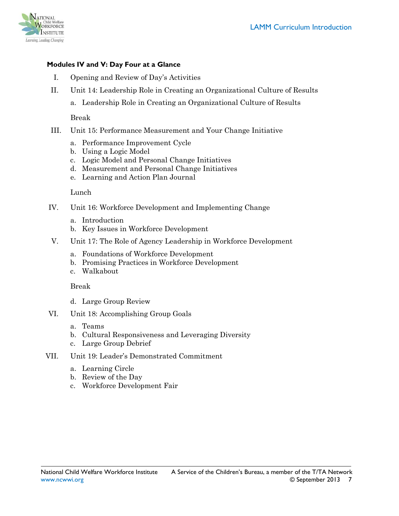

#### **Modules IV and V: Day Four at a Glance**

- I. Opening and Review of Day's Activities
- II. Unit 14: Leadership Role in Creating an Organizational Culture of Results
	- a. Leadership Role in Creating an Organizational Culture of Results

Break

- III. Unit 15: Performance Measurement and Your Change Initiative
	- a. Performance Improvement Cycle
	- b. Using a Logic Model
	- c. Logic Model and Personal Change Initiatives
	- d. Measurement and Personal Change Initiatives
	- e. Learning and Action Plan Journal

Lunch

- IV. Unit 16: Workforce Development and Implementing Change
	- a. Introduction
	- b. Key Issues in Workforce Development
- V. Unit 17: The Role of Agency Leadership in Workforce Development
	- a. Foundations of Workforce Development
	- b. Promising Practices in Workforce Development
	- c. Walkabout

Break

- d. Large Group Review
- VI. Unit 18: Accomplishing Group Goals
	- a. Teams
	- b. Cultural Responsiveness and Leveraging Diversity
	- c. Large Group Debrief
- VII. Unit 19: Leader's Demonstrated Commitment
	- a. Learning Circle
	- b. Review of the Day
	- c. Workforce Development Fair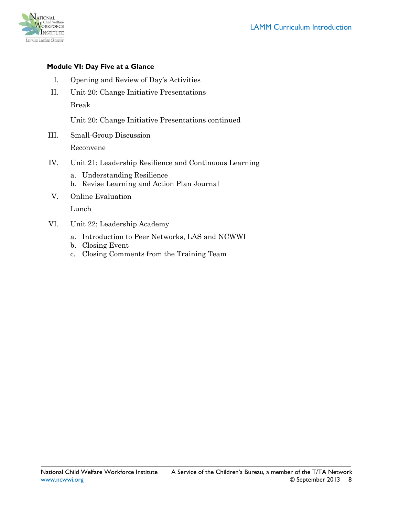

#### **Module VI: Day Five at a Glance**

- I. Opening and Review of Day's Activities
- II. Unit 20: Change Initiative Presentations Break

Unit 20: Change Initiative Presentations continued

- III. Small-Group Discussion Reconvene
- IV. Unit 21: Leadership Resilience and Continuous Learning
	- a. Understanding Resilience
	- b. Revise Learning and Action Plan Journal
- V. Online Evaluation

Lunch

- VI. Unit 22: Leadership Academy
	- a. Introduction to Peer Networks, LAS and NCWWI
	- b. Closing Event
	- c. Closing Comments from the Training Team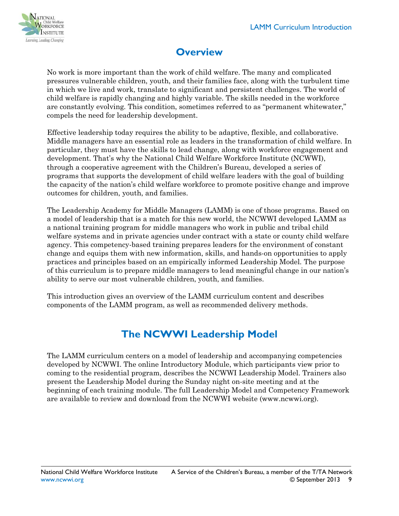

# **Overview**

<span id="page-8-0"></span>No work is more important than the work of child welfare. The many and complicated pressures vulnerable children, youth, and their families face, along with the turbulent time in which we live and work, translate to significant and persistent challenges. The world of child welfare is rapidly changing and highly variable. The skills needed in the workforce are constantly evolving. This condition, sometimes referred to as "permanent whitewater," compels the need for leadership development.

Effective leadership today requires the ability to be adaptive, flexible, and collaborative. Middle managers have an essential role as leaders in the transformation of child welfare. In particular, they must have the skills to lead change, along with workforce engagement and development. That's why the National Child Welfare Workforce Institute (NCWWI), through a cooperative agreement with the Children's Bureau, developed a series of programs that supports the development of child welfare leaders with the goal of building the capacity of the nation's child welfare workforce to promote positive change and improve outcomes for children, youth, and families.

The Leadership Academy for Middle Managers (LAMM) is one of those programs. Based on a model of leadership that is a match for this new world, the NCWWI developed LAMM as a national training program for middle managers who work in public and tribal child welfare systems and in private agencies under contract with a state or county child welfare agency. This competency-based training prepares leaders for the environment of constant change and equips them with new information, skills, and hands-on opportunities to apply practices and principles based on an empirically informed Leadership Model. The purpose of this curriculum is to prepare middle managers to lead meaningful change in our nation's ability to serve our most vulnerable children, youth, and families.

This introduction gives an overview of the LAMM curriculum content and describes components of the LAMM program, as well as recommended delivery methods.

## **The NCWWI Leadership Model**

<span id="page-8-1"></span>The LAMM curriculum centers on a model of leadership and accompanying competencies developed by NCWWI. The online Introductory Module, which participants view prior to coming to the residential program, describes the NCWWI Leadership Model. Trainers also present the Leadership Model during the Sunday night on-site meeting and at the beginning of each training module. The full Leadership Model and Competency Framework are available to review and download from the NCWWI website [\(www.ncwwi.org\)](http://www.ncwwi.org/).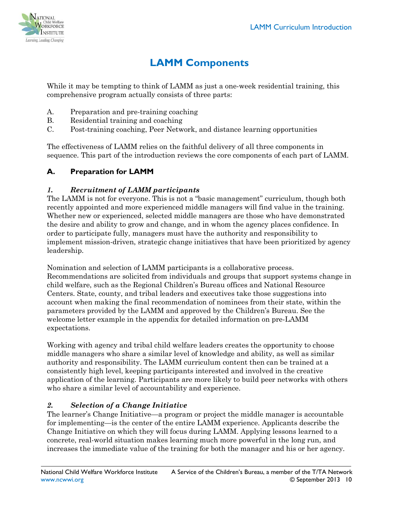

# **LAMM Components**

<span id="page-9-0"></span>While it may be tempting to think of LAMM as just a one-week residential training, this comprehensive program actually consists of three parts:

- A. Preparation and pre-training coaching
- B. Residential training and coaching
- C. Post-training coaching, Peer Network, and distance learning opportunities

The effectiveness of LAMM relies on the faithful delivery of all three components in sequence. This part of the introduction reviews the core components of each part of LAMM.

#### **A. Preparation for LAMM**

#### *1. Recruitment of LAMM participants*

The LAMM is not for everyone. This is not a "basic management" curriculum, though both recently appointed and more experienced middle managers will find value in the training. Whether new or experienced, selected middle managers are those who have demonstrated the desire and ability to grow and change, and in whom the agency places confidence. In order to participate fully, managers must have the authority and responsibility to implement mission-driven, strategic change initiatives that have been prioritized by agency leadership.

Nomination and selection of LAMM participants is a collaborative process. Recommendations are solicited from individuals and groups that support systems change in child welfare, such as the Regional Children's Bureau offices and National Resource Centers. State, county, and tribal leaders and executives take those suggestions into account when making the final recommendation of nominees from their state, within the parameters provided by the LAMM and approved by the Children's Bureau. See the welcome letter example in the appendix for detailed information on pre-LAMM expectations.

Working with agency and tribal child welfare leaders creates the opportunity to choose middle managers who share a similar level of knowledge and ability, as well as similar authority and responsibility. The LAMM curriculum content then can be trained at a consistently high level, keeping participants interested and involved in the creative application of the learning. Participants are more likely to build peer networks with others who share a similar level of accountability and experience.

#### *2. Selection of a Change Initiative*

The learner's Change Initiative—a program or project the middle manager is accountable for implementing—is the center of the entire LAMM experience. Applicants describe the Change Initiative on which they will focus during LAMM. Applying lessons learned to a concrete, real-world situation makes learning much more powerful in the long run, and increases the immediate value of the training for both the manager and his or her agency.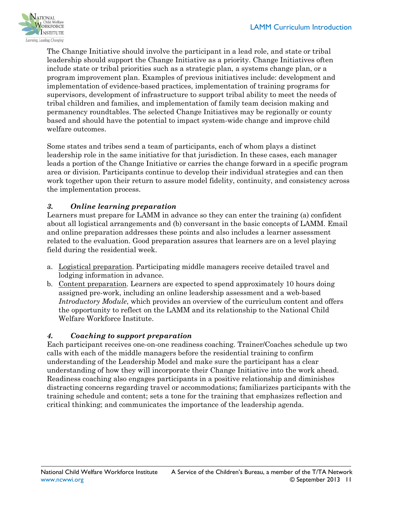

The Change Initiative should involve the participant in a lead role, and state or tribal leadership should support the Change Initiative as a priority. Change Initiatives often include state or tribal priorities such as a strategic plan, a systems change plan, or a program improvement plan. Examples of previous initiatives include: development and implementation of evidence-based practices, implementation of training programs for supervisors, development of infrastructure to support tribal ability to meet the needs of tribal children and families, and implementation of family team decision making and permanency roundtables. The selected Change Initiatives may be regionally or county based and should have the potential to impact system-wide change and improve child welfare outcomes.

Some states and tribes send a team of participants, each of whom plays a distinct leadership role in the same initiative for that jurisdiction. In these cases, each manager leads a portion of the Change Initiative or carries the change forward in a specific program area or division. Participants continue to develop their individual strategies and can then work together upon their return to assure model fidelity, continuity, and consistency across the implementation process.

#### *3. Online learning preparation*

Learners must prepare for LAMM in advance so they can enter the training (a) confident about all logistical arrangements and (b) conversant in the basic concepts of LAMM. Email and online preparation addresses these points and also includes a learner assessment related to the evaluation. Good preparation assures that learners are on a level playing field during the residential week.

- a. Logistical preparation. Participating middle managers receive detailed travel and lodging information in advance.
- b. Content preparation. Learners are expected to spend approximately 10 hours doing assigned pre-work, including an online leadership assessment and a web-based *Introductory Module*, which provides an overview of the curriculum content and offers the opportunity to reflect on the LAMM and its relationship to the National Child Welfare Workforce Institute.

#### *4. Coaching to support preparation*

Each participant receives one-on-one readiness coaching. Trainer/Coaches schedule up two calls with each of the middle managers before the residential training to confirm understanding of the Leadership Model and make sure the participant has a clear understanding of how they will incorporate their Change Initiative into the work ahead. Readiness coaching also engages participants in a positive relationship and diminishes distracting concerns regarding travel or accommodations; familiarizes participants with the training schedule and content; sets a tone for the training that emphasizes reflection and critical thinking; and communicates the importance of the leadership agenda.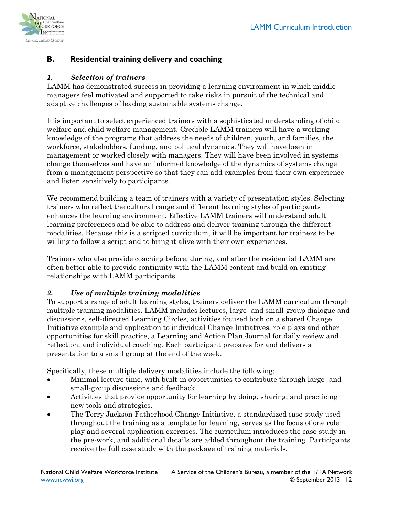

#### **B. Residential training delivery and coaching**

#### *1. Selection of trainers*

LAMM has demonstrated success in providing a learning environment in which middle managers feel motivated and supported to take risks in pursuit of the technical and adaptive challenges of leading sustainable systems change.

It is important to select experienced trainers with a sophisticated understanding of child welfare and child welfare management. Credible LAMM trainers will have a working knowledge of the programs that address the needs of children, youth, and families, the workforce, stakeholders, funding, and political dynamics. They will have been in management or worked closely with managers. They will have been involved in systems change themselves and have an informed knowledge of the dynamics of systems change from a management perspective so that they can add examples from their own experience and listen sensitively to participants.

We recommend building a team of trainers with a variety of presentation styles. Selecting trainers who reflect the cultural range and different learning styles of participants enhances the learning environment. Effective LAMM trainers will understand adult learning preferences and be able to address and deliver training through the different modalities. Because this is a scripted curriculum, it will be important for trainers to be willing to follow a script and to bring it alive with their own experiences.

Trainers who also provide coaching before, during, and after the residential LAMM are often better able to provide continuity with the LAMM content and build on existing relationships with LAMM participants.

#### *2. Use of multiple training modalities*

To support a range of adult learning styles, trainers deliver the LAMM curriculum through multiple training modalities. LAMM includes lectures, large- and small-group dialogue and discussions, self-directed Learning Circles, activities focused both on a shared Change Initiative example and application to individual Change Initiatives, role plays and other opportunities for skill practice, a Learning and Action Plan Journal for daily review and reflection, and individual coaching. Each participant prepares for and delivers a presentation to a small group at the end of the week.

Specifically, these multiple delivery modalities include the following:

- Minimal lecture time, with built-in opportunities to contribute through large- and small-group discussions and feedback.
- Activities that provide opportunity for learning by doing, sharing, and practicing new tools and strategies.
- The Terry Jackson Fatherhood Change Initiative, a standardized case study used throughout the training as a template for learning, serves as the focus of one role play and several application exercises. The curriculum introduces the case study in the pre-work, and additional details are added throughout the training. Participants receive the full case study with the package of training materials.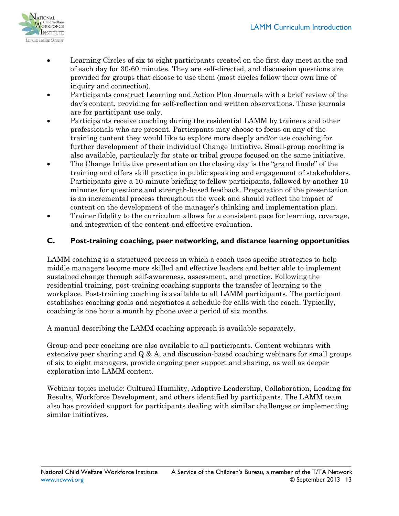

- Learning Circles of six to eight participants created on the first day meet at the end of each day for 30-60 minutes. They are self-directed, and discussion questions are provided for groups that choose to use them (most circles follow their own line of inquiry and connection).
- Participants construct Learning and Action Plan Journals with a brief review of the day's content, providing for self-reflection and written observations. These journals are for participant use only.
- Participants receive coaching during the residential LAMM by trainers and other professionals who are present. Participants may choose to focus on any of the training content they would like to explore more deeply and/or use coaching for further development of their individual Change Initiative. Small-group coaching is also available, particularly for state or tribal groups focused on the same initiative.
- The Change Initiative presentation on the closing day is the "grand finale" of the training and offers skill practice in public speaking and engagement of stakeholders. Participants give a 10-minute briefing to fellow participants, followed by another 10 minutes for questions and strength-based feedback. Preparation of the presentation is an incremental process throughout the week and should reflect the impact of content on the development of the manager's thinking and implementation plan.
- Trainer fidelity to the curriculum allows for a consistent pace for learning, coverage, and integration of the content and effective evaluation.

#### **C. Post-training coaching, peer networking, and distance learning opportunities**

LAMM coaching is a structured process in which a coach uses specific strategies to help middle managers become more skilled and effective leaders and better able to implement sustained change through self-awareness, assessment, and practice. Following the residential training, post-training coaching supports the transfer of learning to the workplace. Post-training coaching is available to all LAMM participants. The participant establishes coaching goals and negotiates a schedule for calls with the coach. Typically, coaching is one hour a month by phone over a period of six months.

A manual describing the LAMM coaching approach is available separately.

Group and peer coaching are also available to all participants. Content webinars with extensive peer sharing and  $Q \& A$ , and discussion-based coaching webinars for small groups of six to eight managers, provide ongoing peer support and sharing, as well as deeper exploration into LAMM content.

Webinar topics include: Cultural Humility, Adaptive Leadership, Collaboration, Leading for Results, Workforce Development, and others identified by participants. The LAMM team also has provided support for participants dealing with similar challenges or implementing similar initiatives.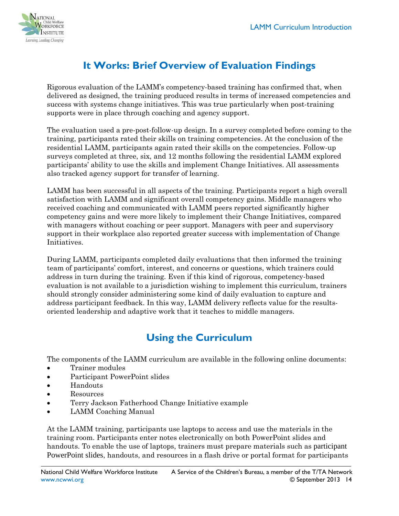

# **It Works: Brief Overview of Evaluation Findings**

<span id="page-13-0"></span>Rigorous evaluation of the LAMM's competency-based training has confirmed that, when delivered as designed, the training produced results in terms of increased competencies and success with systems change initiatives. This was true particularly when post-training supports were in place through coaching and agency support.

The evaluation used a pre-post-follow-up design. In a survey completed before coming to the training, participants rated their skills on training competencies. At the conclusion of the residential LAMM, participants again rated their skills on the competencies. Follow-up surveys completed at three, six, and 12 months following the residential LAMM explored participants' ability to use the skills and implement Change Initiatives. All assessments also tracked agency support for transfer of learning.

LAMM has been successful in all aspects of the training. Participants report a high overall satisfaction with LAMM and significant overall competency gains. Middle managers who received coaching and communicated with LAMM peers reported significantly higher competency gains and were more likely to implement their Change Initiatives, compared with managers without coaching or peer support. Managers with peer and supervisory support in their workplace also reported greater success with implementation of Change Initiatives.

During LAMM, participants completed daily evaluations that then informed the training team of participants' comfort, interest, and concerns or questions, which trainers could address in turn during the training. Even if this kind of rigorous, competency-based evaluation is not available to a jurisdiction wishing to implement this curriculum, trainers should strongly consider administering some kind of daily evaluation to capture and address participant feedback. In this way, LAMM delivery reflects value for the resultsoriented leadership and adaptive work that it teaches to middle managers.

## **Using the Curriculum**

<span id="page-13-1"></span>The components of the LAMM curriculum are available in the following online documents:

- Trainer modules
- Participant PowerPoint slides
- Handouts
- Resources
- Terry Jackson Fatherhood Change Initiative example
- LAMM Coaching Manual

At the LAMM training, participants use laptops to access and use the materials in the training room. Participants enter notes electronically on both PowerPoint slides and handouts. To enable the use of laptops, trainers must prepare materials such as participant PowerPoint slides, handouts, and resources in a flash drive or portal format for participants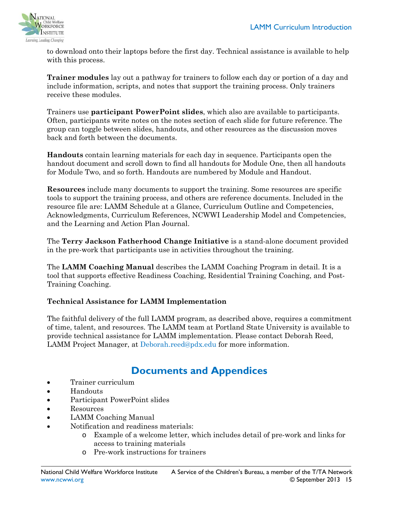

to download onto their laptops before the first day. Technical assistance is available to help with this process.

**Trainer modules** lay out a pathway for trainers to follow each day or portion of a day and include information, scripts, and notes that support the training process. Only trainers receive these modules.

Trainers use **participant PowerPoint slides**, which also are available to participants. Often, participants write notes on the notes section of each slide for future reference. The group can toggle between slides, handouts, and other resources as the discussion moves back and forth between the documents.

**Handouts** contain learning materials for each day in sequence. Participants open the handout document and scroll down to find all handouts for Module One, then all handouts for Module Two, and so forth. Handouts are numbered by Module and Handout.

**Resources** include many documents to support the training. Some resources are specific tools to support the training process, and others are reference documents. Included in the resource file are: LAMM Schedule at a Glance, Curriculum Outline and Competencies, Acknowledgments, Curriculum References, NCWWI Leadership Model and Competencies, and the Learning and Action Plan Journal.

The **Terry Jackson Fatherhood Change Initiative** is a stand-alone document provided in the pre-work that participants use in activities throughout the training.

The **LAMM Coaching Manual** describes the LAMM Coaching Program in detail. It is a tool that supports effective Readiness Coaching, Residential Training Coaching, and Post-Training Coaching.

#### **Technical Assistance for LAMM Implementation**

The faithful delivery of the full LAMM program, as described above, requires a commitment of time, talent, and resources. The LAMM team at Portland State University is available to provide technical assistance for LAMM implementation. Please contact Deborah Reed, LAMM Project Manager, at [Deborah.reed@pdx.edu](mailto:Deborah.reed@pdx.edu) for more information.

### **Documents and Appendices**

- <span id="page-14-0"></span>• Trainer curriculum
- Handouts
- Participant PowerPoint slides
- Resources
- LAMM Coaching Manual
- Notification and readiness materials:
	- o Example of a welcome letter, which includes detail of pre-work and links for access to training materials
	- o Pre-work instructions for trainers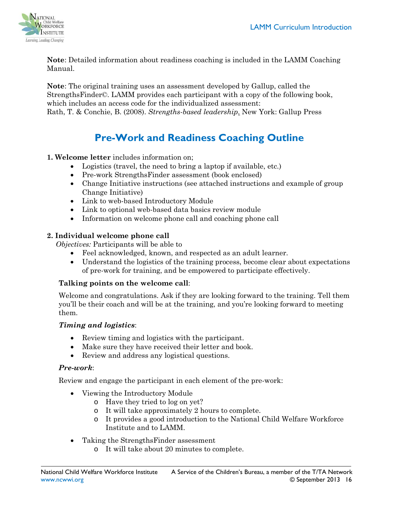

**Note**: Detailed information about readiness coaching is included in the LAMM Coaching Manual.

**Note**: The original training uses an assessment developed by Gallup, called the StrengthsFinder©. LAMM provides each participant with a copy of the following book, which includes an access code for the individualized assessment: Rath, T. & Conchie, B. (2008). *Strengths-based leadership*. New York: Gallup Press

# **Pre-Work and Readiness Coaching Outline**

#### **1. Welcome letter** includes information on;

- Logistics (travel, the need to bring a laptop if available, etc.)
- Pre-work StrengthsFinder assessment (book enclosed)
- Change Initiative instructions (see attached instructions and example of group Change Initiative)
- Link to web-based Introductory Module
- Link to optional web-based data basics review module
- Information on welcome phone call and coaching phone call

#### **2. Individual welcome phone call**

*Objectives:* Participants will be able to

- Feel acknowledged, known, and respected as an adult learner.
- Understand the logistics of the training process, become clear about expectations of pre-work for training, and be empowered to participate effectively.

#### **Talking points on the welcome call**:

Welcome and congratulations. Ask if they are looking forward to the training. Tell them you'll be their coach and will be at the training, and you're looking forward to meeting them.

#### *Timing and logistics*:

- Review timing and logistics with the participant.
- Make sure they have received their letter and book.
- Review and address any logistical questions.

#### *Pre-work*:

Review and engage the participant in each element of the pre-work:

- Viewing the Introductory Module
	- o Have they tried to log on yet?
	- o It will take approximately 2 hours to complete.
	- o It provides a good introduction to the National Child Welfare Workforce Institute and to LAMM.
- Taking the StrengthsFinder assessment
	- o It will take about 20 minutes to complete.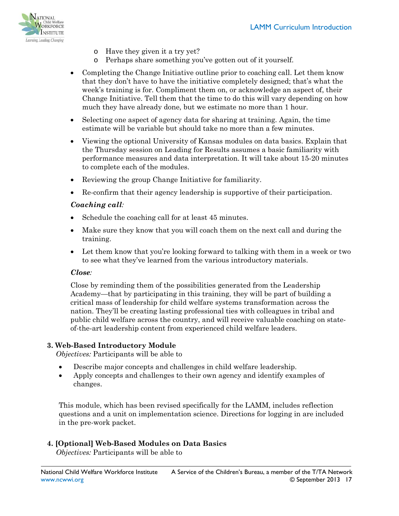

- o Have they given it a try yet?
- o Perhaps share something you've gotten out of it yourself.
- Completing the Change Initiative outline prior to coaching call. Let them know that they don't have to have the initiative completely designed; that's what the week's training is for. Compliment them on, or acknowledge an aspect of, their Change Initiative. Tell them that the time to do this will vary depending on how much they have already done, but we estimate no more than 1 hour.
- Selecting one aspect of agency data for sharing at training. Again, the time estimate will be variable but should take no more than a few minutes.
- Viewing the optional University of Kansas modules on data basics. Explain that the Thursday session on Leading for Results assumes a basic familiarity with performance measures and data interpretation. It will take about 15-20 minutes to complete each of the modules.
- Reviewing the group Change Initiative for familiarity.
- Re-confirm that their agency leadership is supportive of their participation.

#### *Coaching call:*

- Schedule the coaching call for at least 45 minutes.
- Make sure they know that you will coach them on the next call and during the training.
- Let them know that you're looking forward to talking with them in a week or two to see what they've learned from the various introductory materials.

#### *Close:*

Close by reminding them of the possibilities generated from the Leadership Academy—that by participating in this training, they will be part of building a critical mass of leadership for child welfare systems transformation across the nation. They'll be creating lasting professional ties with colleagues in tribal and public child welfare across the country, and will receive valuable coaching on stateof-the-art leadership content from experienced child welfare leaders.

#### **3. Web-Based Introductory Module**

*Objectives:* Participants will be able to

- Describe major concepts and challenges in child welfare leadership.
- Apply concepts and challenges to their own agency and identify examples of changes.

This module, which has been revised specifically for the LAMM, includes reflection questions and a unit on implementation science. Directions for logging in are included in the pre-work packet.

#### **4. [Optional] Web-Based Modules on Data Basics**

*Objectives:* Participants will be able to